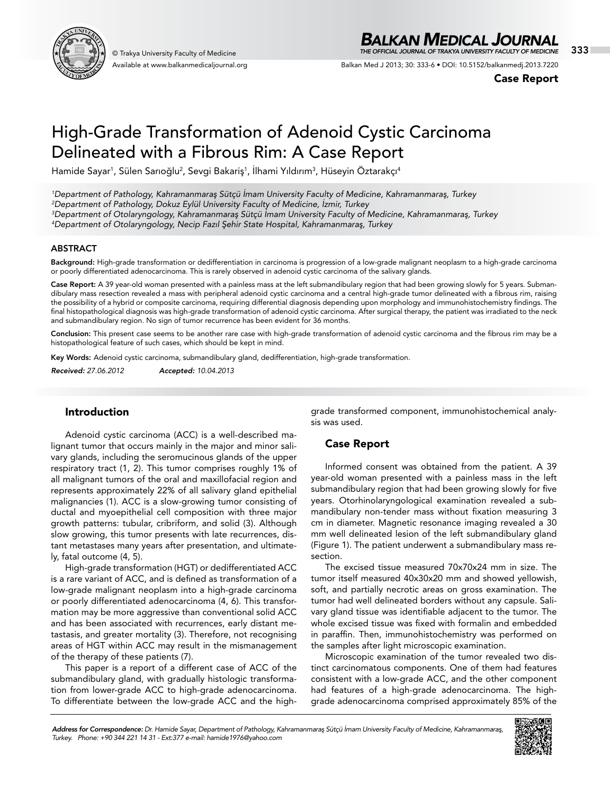

Available at www.balkanmedicaljournal.org

## *BALKAN MEDICAL JOURNAL*

© Trakya University Faculty of Medicine 333 *THE OFFICIAL JOURNAL OF TRAKYA UNIVERSITY FACULTY OF MEDICINE*

Balkan Med J 2013; 30: 333-6 • DOI: 10.5152/balkanmedj.2013.7220

Case Report

# High-Grade Transformation of Adenoid Cystic Carcinoma Delineated with a Fibrous Rim: A Case Report

Hamide Sayar<sup>ı</sup>, Sülen Sarıoğlu<sup>2</sup>, Sevgi Bakariş<sup>1</sup>, Ilhami Yıldırım<sup>3</sup>, Hüseyin Öztarakçı<sup>4</sup>

 *Department of Pathology, Kahramanmaraş Sütçü İmam University Faculty of Medicine, Kahramanmaraş, Turkey Department of Pathology, Dokuz Eylül University Faculty of Medicine, İzmir, Turkey Department of Otolaryngology, Kahramanmaraş Sütçü İmam University Faculty of Medicine, Kahramanmaraş, Turkey Department of Otolaryngology, Necip Fazıl Şehir State Hospital, Kahramanmaraş, Turkey*

#### ABSTRACT

Background: High-grade transformation or dedifferentiation in carcinoma is progression of a low-grade malignant neoplasm to a high-grade carcinoma or poorly differentiated adenocarcinoma. This is rarely observed in adenoid cystic carcinoma of the salivary glands.

Case Report: A 39 year-old woman presented with a painless mass at the left submandibulary region that had been growing slowly for 5 years. Submandibulary mass resection revealed a mass with peripheral adenoid cystic carcinoma and a central high-grade tumor delineated with a fibrous rim, raising the possibility of a hybrid or composite carcinoma, requiring differential diagnosis depending upon morphology and immunohistochemistry findings. The final histopathological diagnosis was high-grade transformation of adenoid cystic carcinoma. After surgical therapy, the patient was irradiated to the neck and submandibulary region. No sign of tumor recurrence has been evident for 36 months.

Conclusion: This present case seems to be another rare case with high-grade transformation of adenoid cystic carcinoma and the fibrous rim may be a histopathological feature of such cases, which should be kept in mind.

Key Words: Adenoid cystic carcinoma, submandibulary gland, dedifferentiation, high-grade transformation.

*Received: 27.06.2012 Accepted: 10.04.2013*

#### Introduction

Adenoid cystic carcinoma (ACC) is a well-described malignant tumor that occurs mainly in the major and minor salivary glands, including the seromucinous glands of the upper respiratory tract (1, 2). This tumor comprises roughly 1% of all malignant tumors of the oral and maxillofacial region and represents approximately 22% of all salivary gland epithelial malignancies (1). ACC is a slow-growing tumor consisting of ductal and myoepithelial cell composition with three major growth patterns: tubular, cribriform, and solid (3). Although slow growing, this tumor presents with late recurrences, distant metastases many years after presentation, and ultimately, fatal outcome (4, 5).

High-grade transformation (HGT) or dedifferentiated ACC is a rare variant of ACC, and is defined as transformation of a low-grade malignant neoplasm into a high-grade carcinoma or poorly differentiated adenocarcinoma (4, 6). This transformation may be more aggressive than conventional solid ACC and has been associated with recurrences, early distant metastasis, and greater mortality (3). Therefore, not recognising areas of HGT within ACC may result in the mismanagement of the therapy of these patients (7).

This paper is a report of a different case of ACC of the submandibulary gland, with gradually histologic transformation from lower-grade ACC to high-grade adenocarcinoma. To differentiate between the low-grade ACC and the highgrade transformed component, immunohistochemical analysis was used.

## Case Report

Informed consent was obtained from the patient. A 39 year-old woman presented with a painless mass in the left submandibulary region that had been growing slowly for five years. Otorhinolaryngological examination revealed a submandibulary non-tender mass without fixation measuring 3 cm in diameter. Magnetic resonance imaging revealed a 30 mm well delineated lesion of the left submandibulary gland (Figure 1). The patient underwent a submandibulary mass resection.

The excised tissue measured 70x70x24 mm in size. The tumor itself measured 40x30x20 mm and showed yellowish, soft, and partially necrotic areas on gross examination. The tumor had well delineated borders without any capsule. Salivary gland tissue was identifiable adjacent to the tumor. The whole excised tissue was fixed with formalin and embedded in paraffin. Then, immunohistochemistry was performed on the samples after light microscopic examination.

Microscopic examination of the tumor revealed two distinct carcinomatous components. One of them had features consistent with a low-grade ACC, and the other component had features of a high-grade adenocarcinoma. The highgrade adenocarcinoma comprised approximately 85% of the

*Address for Correspondence: Dr. Hamide Sayar, Department of Pathology, Kahramanmaraş Sütçü İmam University Faculty of Medicine, Kahramanmaraş, Turkey. Phone: +90 344 221 14 31 - Ext:377 e-mail: hamide1976@yahoo.com*

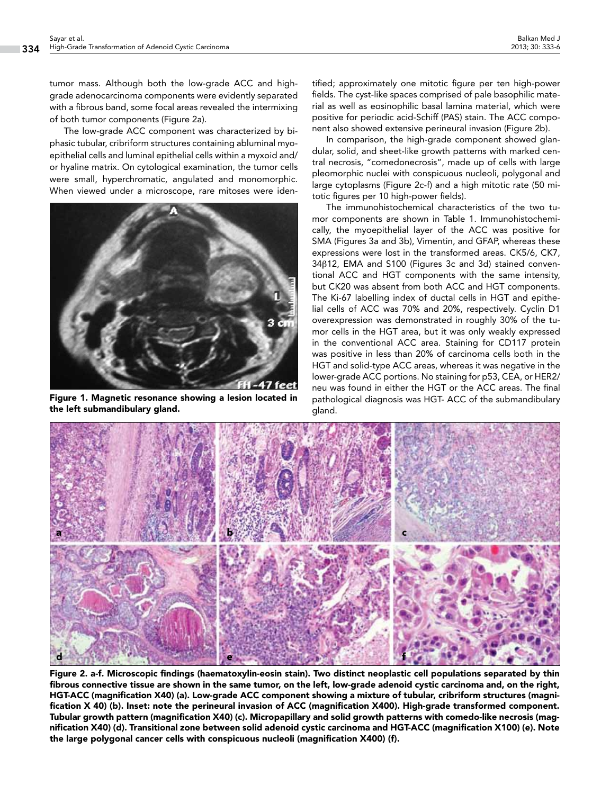tumor mass. Although both the low-grade ACC and highgrade adenocarcinoma components were evidently separated with a fibrous band, some focal areas revealed the intermixing of both tumor components (Figure 2a).

The low-grade ACC component was characterized by biphasic tubular, cribriform structures containing abluminal myoepithelial cells and luminal epithelial cells within a myxoid and/ or hyaline matrix. On cytological examination, the tumor cells were small, hyperchromatic, angulated and monomorphic. When viewed under a microscope, rare mitoses were iden-



Figure 1. Magnetic resonance showing a lesion located in the left submandibulary gland.

tified; approximately one mitotic figure per ten high-power fields. The cyst-like spaces comprised of pale basophilic material as well as eosinophilic basal lamina material, which were positive for periodic acid-Schiff (PAS) stain. The ACC component also showed extensive perineural invasion (Figure 2b).

In comparison, the high-grade component showed glandular, solid, and sheet-like growth patterns with marked central necrosis, "comedonecrosis", made up of cells with large pleomorphic nuclei with conspicuous nucleoli, polygonal and large cytoplasms (Figure 2c-f) and a high mitotic rate (50 mitotic figures per 10 high-power fields).

The immunohistochemical characteristics of the two tumor components are shown in Table 1. Immunohistochemically, the myoepithelial layer of the ACC was positive for SMA (Figures 3a and 3b), Vimentin, and GFAP, whereas these expressions were lost in the transformed areas. CK5/6, CK7, 34β12, EMA and S100 (Figures 3c and 3d) stained conventional ACC and HGT components with the same intensity, but CK20 was absent from both ACC and HGT components. The Ki-67 labelling index of ductal cells in HGT and epithelial cells of ACC was 70% and 20%, respectively. Cyclin D1 overexpression was demonstrated in roughly 30% of the tumor cells in the HGT area, but it was only weakly expressed in the conventional ACC area. Staining for CD117 protein was positive in less than 20% of carcinoma cells both in the HGT and solid-type ACC areas, whereas it was negative in the lower-grade ACC portions. No staining for p53, CEA, or HER2/ neu was found in either the HGT or the ACC areas. The final pathological diagnosis was HGT- ACC of the submandibulary gland.



Figure 2. a-f. Microscopic findings (haematoxylin-eosin stain). Two distinct neoplastic cell populations separated by thin fibrous connective tissue are shown in the same tumor, on the left, low-grade adenoid cystic carcinoma and, on the right, HGT-ACC (magnification X40) (a). Low-grade ACC component showing a mixture of tubular, cribriform structures (magnification X 40) (b). Inset: note the perineural invasion of ACC (magnification X400). High-grade transformed component. Tubular growth pattern (magnification X40) (c). Micropapillary and solid growth patterns with comedo-like necrosis (magnification X40) (d). Transitional zone between solid adenoid cystic carcinoma and HGT-ACC (magnification X100) (e). Note the large polygonal cancer cells with conspicuous nucleoli (magnification X400) (f).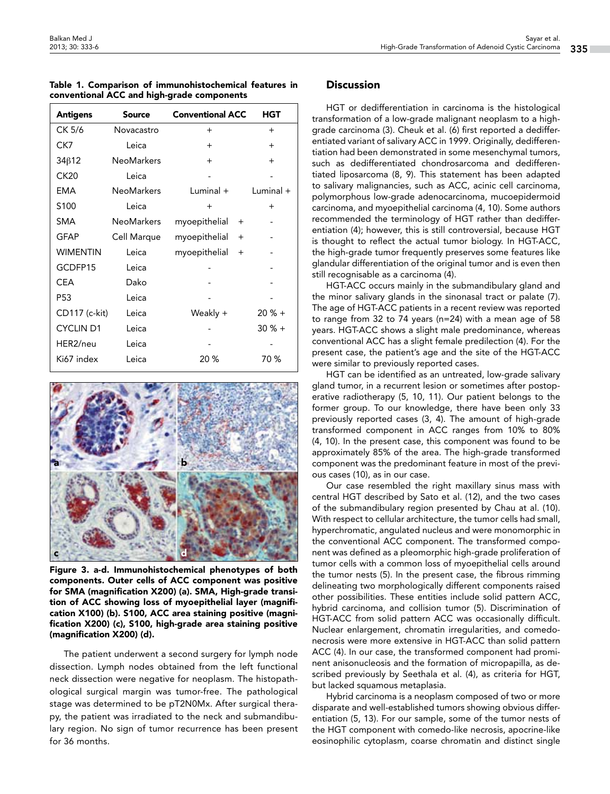|  |  | Table 1. Comparison of immunohistochemical features in |  |
|--|--|--------------------------------------------------------|--|
|  |  | conventional ACC and high-grade components             |  |

| <b>Antigens</b>  | <b>Source</b>     | <b>Conventional ACC</b> | HGT         |
|------------------|-------------------|-------------------------|-------------|
| CK 5/6           | Novacastro        | $^{+}$                  | $+$         |
| CK7              | Leica             | $\ddot{}$               | $+$         |
| 34β12            | <b>NeoMarkers</b> | $^{+}$                  | $+$         |
| CK20             | Leica             |                         |             |
| EMA              | <b>NeoMarkers</b> | $Luminal +$             | Luminal $+$ |
| S <sub>100</sub> | Leica             | $^{+}$                  | $+$         |
| SMA              | <b>NeoMarkers</b> | myoepithelial<br>$^{+}$ |             |
| GFAP             | Cell Marque       | myoepithelial<br>$+$    |             |
| WIMENTIN         | Leica             | myoepithelial<br>$^{+}$ |             |
| GCDFP15          | Leica             |                         |             |
| CEA              | Dako              |                         |             |
| P53              | Leica             |                         |             |
| CD117 (c-kit)    | Leica             | Weakly +                | $20% +$     |
| <b>CYCLIN D1</b> | Leica             |                         | $30 \% +$   |
| HER2/neu         | Leica             |                         |             |
| Ki67 index       | Leica             | 20%                     | 70 %        |



Figure 3. a-d. Immunohistochemical phenotypes of both components. Outer cells of ACC component was positive for SMA (magnification X200) (a). SMA, High-grade transition of ACC showing loss of myoepithelial layer (magnification X100) (b). S100, ACC area staining positive (magnification X200) (c), S100, high-grade area staining positive (magnification X200) (d).

The patient underwent a second surgery for lymph node dissection. Lymph nodes obtained from the left functional neck dissection were negative for neoplasm. The histopathological surgical margin was tumor-free. The pathological stage was determined to be pT2N0Mx. After surgical therapy, the patient was irradiated to the neck and submandibulary region. No sign of tumor recurrence has been present for 36 months.

### **Discussion**

HGT or dedifferentiation in carcinoma is the histological transformation of a low-grade malignant neoplasm to a highgrade carcinoma (3). Cheuk et al. (6) first reported a dedifferentiated variant of salivary ACC in 1999. Originally, dedifferentiation had been demonstrated in some mesenchymal tumors, such as dedifferentiated chondrosarcoma and dedifferentiated liposarcoma (8, 9). This statement has been adapted to salivary malignancies, such as ACC, acinic cell carcinoma, polymorphous low-grade adenocarcinoma, mucoepidermoid carcinoma, and myoepithelial carcinoma (4, 10). Some authors recommended the terminology of HGT rather than dedifferentiation (4); however, this is still controversial, because HGT is thought to reflect the actual tumor biology. In HGT-ACC, the high-grade tumor frequently preserves some features like glandular differentiation of the original tumor and is even then still recognisable as a carcinoma (4).

HGT-ACC occurs mainly in the submandibulary gland and the minor salivary glands in the sinonasal tract or palate (7). The age of HGT-ACC patients in a recent review was reported to range from 32 to 74 years (n=24) with a mean age of 58 years. HGT-ACC shows a slight male predominance, whereas conventional ACC has a slight female predilection (4). For the present case, the patient's age and the site of the HGT-ACC were similar to previously reported cases.

HGT can be identified as an untreated, low-grade salivary gland tumor, in a recurrent lesion or sometimes after postoperative radiotherapy (5, 10, 11). Our patient belongs to the former group. To our knowledge, there have been only 33 previously reported cases (3, 4). The amount of high-grade transformed component in ACC ranges from 10% to 80% (4, 10). In the present case, this component was found to be approximately 85% of the area. The high-grade transformed component was the predominant feature in most of the previous cases (10), as in our case.

Our case resembled the right maxillary sinus mass with central HGT described by Sato et al. (12), and the two cases of the submandibulary region presented by Chau at al. (10). With respect to cellular architecture, the tumor cells had small, hyperchromatic, angulated nucleus and were monomorphic in the conventional ACC component. The transformed component was defined as a pleomorphic high-grade proliferation of tumor cells with a common loss of myoepithelial cells around the tumor nests (5). In the present case, the fibrous rimming delineating two morphologically different components raised other possibilities. These entities include solid pattern ACC, hybrid carcinoma, and collision tumor (5). Discrimination of HGT-ACC from solid pattern ACC was occasionally difficult. Nuclear enlargement, chromatin irregularities, and comedonecrosis were more extensive in HGT-ACC than solid pattern ACC (4). In our case, the transformed component had prominent anisonucleosis and the formation of micropapilla, as described previously by Seethala et al. (4), as criteria for HGT, but lacked squamous metaplasia.

Hybrid carcinoma is a neoplasm composed of two or more disparate and well-established tumors showing obvious differentiation (5, 13). For our sample, some of the tumor nests of the HGT component with comedo-like necrosis, apocrine-like eosinophilic cytoplasm, coarse chromatin and distinct single